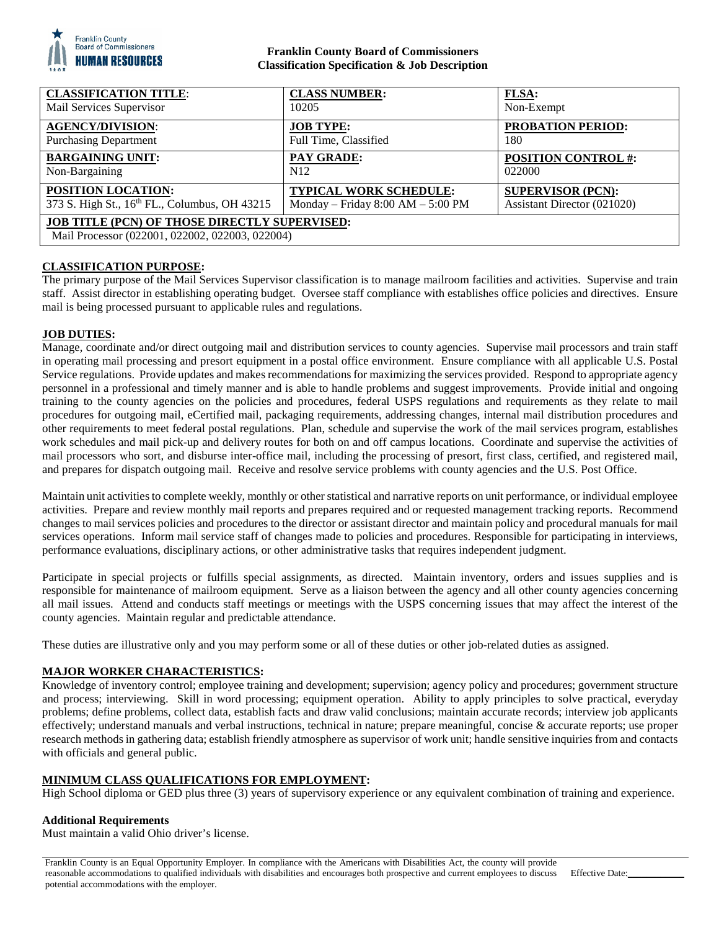

## **Franklin County Board of Commissioners Classification Specification & Job Description**

| <b>CLASSIFICATION TITLE:</b>                                                                            | <b>CLASS NUMBER:</b>              | <b>FLSA:</b>                |
|---------------------------------------------------------------------------------------------------------|-----------------------------------|-----------------------------|
| Mail Services Supervisor                                                                                | 10205                             | Non-Exempt                  |
| <b>AGENCY/DIVISION:</b>                                                                                 | <b>JOB TYPE:</b>                  | <b>PROBATION PERIOD:</b>    |
| <b>Purchasing Department</b>                                                                            | Full Time, Classified             | 180                         |
| <b>BARGAINING UNIT:</b>                                                                                 | <b>PAY GRADE:</b>                 | <b>POSITION CONTROL #:</b>  |
| Non-Bargaining                                                                                          | N12                               | 022000                      |
| <b>POSITION LOCATION:</b>                                                                               | <b>TYPICAL WORK SCHEDULE:</b>     | <b>SUPERVISOR (PCN):</b>    |
| 373 S. High St., 16th FL., Columbus, OH 43215                                                           | Monday - Friday 8:00 AM - 5:00 PM | Assistant Director (021020) |
| <b>JOB TITLE (PCN) OF THOSE DIRECTLY SUPERVISED:</b><br>Mail Processor (022001, 022002, 022003, 022004) |                                   |                             |

# **CLASSIFICATION PURPOSE:**

The primary purpose of the Mail Services Supervisor classification is to manage mailroom facilities and activities. Supervise and train staff. Assist director in establishing operating budget. Oversee staff compliance with establishes office policies and directives. Ensure mail is being processed pursuant to applicable rules and regulations.

## **JOB DUTIES:**

Manage, coordinate and/or direct outgoing mail and distribution services to county agencies. Supervise mail processors and train staff in operating mail processing and presort equipment in a postal office environment. Ensure compliance with all applicable U.S. Postal Service regulations. Provide updates and makes recommendations for maximizing the services provided. Respond to appropriate agency personnel in a professional and timely manner and is able to handle problems and suggest improvements. Provide initial and ongoing training to the county agencies on the policies and procedures, federal USPS regulations and requirements as they relate to mail procedures for outgoing mail, eCertified mail, packaging requirements, addressing changes, internal mail distribution procedures and other requirements to meet federal postal regulations. Plan, schedule and supervise the work of the mail services program, establishes work schedules and mail pick-up and delivery routes for both on and off campus locations. Coordinate and supervise the activities of mail processors who sort, and disburse inter-office mail, including the processing of presort, first class, certified, and registered mail, and prepares for dispatch outgoing mail. Receive and resolve service problems with county agencies and the U.S. Post Office.

Maintain unit activities to complete weekly, monthly or other statistical and narrative reports on unit performance, or individual employee activities. Prepare and review monthly mail reports and prepares required and or requested management tracking reports. Recommend changes to mail services policies and procedures to the director or assistant director and maintain policy and procedural manuals for mail services operations. Inform mail service staff of changes made to policies and procedures. Responsible for participating in interviews, performance evaluations, disciplinary actions, or other administrative tasks that requires independent judgment.

Participate in special projects or fulfills special assignments, as directed. Maintain inventory, orders and issues supplies and is responsible for maintenance of mailroom equipment. Serve as a liaison between the agency and all other county agencies concerning all mail issues. Attend and conducts staff meetings or meetings with the USPS concerning issues that may affect the interest of the county agencies. Maintain regular and predictable attendance.

These duties are illustrative only and you may perform some or all of these duties or other job-related duties as assigned.

# **MAJOR WORKER CHARACTERISTICS:**

Knowledge of inventory control; employee training and development; supervision; agency policy and procedures; government structure and process; interviewing. Skill in word processing; equipment operation. Ability to apply principles to solve practical, everyday problems; define problems, collect data, establish facts and draw valid conclusions; maintain accurate records; interview job applicants effectively; understand manuals and verbal instructions, technical in nature; prepare meaningful, concise & accurate reports; use proper research methods in gathering data; establish friendly atmosphere as supervisor of work unit; handle sensitive inquiries from and contacts with officials and general public.

## **MINIMUM CLASS QUALIFICATIONS FOR EMPLOYMENT:**

High School diploma or GED plus three (3) years of supervisory experience or any equivalent combination of training and experience.

## **Additional Requirements**

Must maintain a valid Ohio driver's license.

Franklin County is an Equal Opportunity Employer. In compliance with the Americans with Disabilities Act, the county will provide reasonable accommodations to qualified individuals with disabilities and encourages both prospective and current employees to discuss potential accommodations with the employer.

Effective Date: